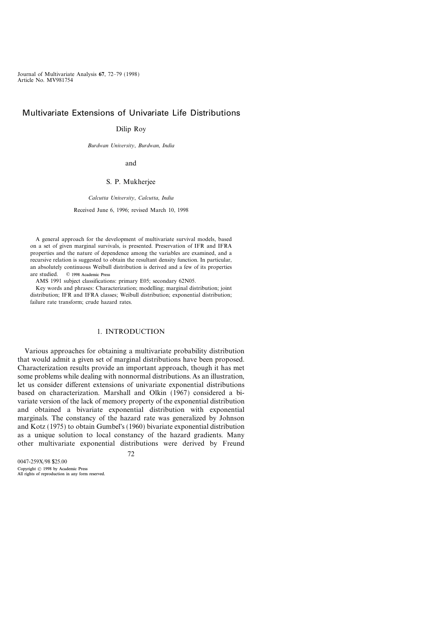# Multivariate Extensions of Univariate Life Distributions

Dilip Roy

Burdwan University, Burdwan, India

and

## S. P. Mukherjee

Calcutta University, Calcutta, India

Received June 6, 1996; revised March 10, 1998

A general approach for the development of multivariate survival models, based on a set of given marginal survivals, is presented. Preservation of IFR and IFRA properties and the nature of dependence among the variables are examined, and a recursive relation is suggested to obtain the resultant density function. In particular, an absolutely continuous Weibull distribution is derived and a few of its properties are studied. 
© 1998 Academic Press

AMS 1991 subject classifications: primary E05; secondary 62N05.

Key words and phrases: Characterization; modelling; marginal distribution; joint distribution; IFR and IFRA classes; Weibull distribution; exponential distribution; failure rate transform; crude hazard rates.

## 1. INTRODUCTION

Various approaches for obtaining a multivariate probability distribution that would admit a given set of marginal distributions have been proposed. Characterization results provide an important approach, though it has met some problems while dealing with nonnormal distributions. As an illustration, let us consider different extensions of univariate exponential distributions based on characterization. Marshall and Olkin (1967) considered a bivariate version of the lack of memory property of the exponential distribution and obtained a bivariate exponential distribution with exponential marginals. The constancy of the hazard rate was generalized by Johnson and Kotz (1975) to obtain Gumbel's (1960) bivariate exponential distribution as a unique solution to local constancy of the hazard gradients. Many other multivariate exponential distributions were derived by Freund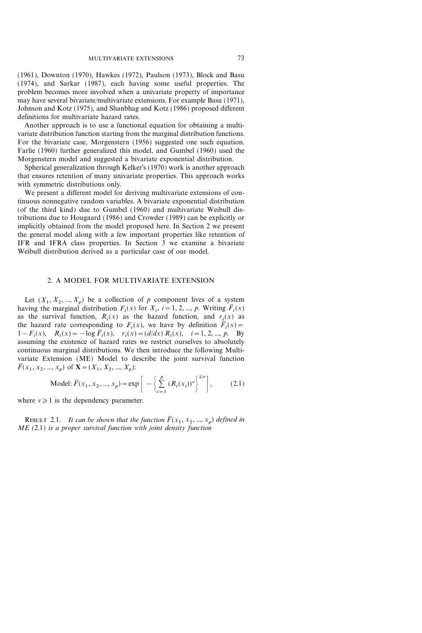(1961), Downton (1970), Hawkes (1972), Paulson (1973), Block and Basu (1974), and Sarkar (1987), each having some useful properties. The problem becomes more involved when a univariate property of importance may have several bivariate/multivariate extensions. For example Basu (1971), Johnson and Kotz (1975), and Shanbhag and Kotz (1986) proposed different definitions for multivariate hazard rates.

Another approach is to use a functional equation for obtaining a multivariate distribution function starting from the marginal distribution functions. For the bivariate case, Morgenstern (1956) suggested one such equation. Farlie (1960) further generalized this model, and Gumbel (1960) used the Morgenstern model and suggested a bivariate exponential distribution.

Spherical generalization through Kelker's (1970) work is another approach that ensures retention of many univariate properties. This approach works with symmetric distributions only.

We present a different model for deriving multivariate extensions of continuous nonnegative random variables. A bivariate exponential distribution (of the third kind) due to Gumbel (1960) and multivariate Weibull distributions due to Hougaard (1986) and Crowder (1989) can be explicitly or implicitly obtained from the model proposed here. In Section 2 we present the general model along with a few important properties like retention of IFR and IFRA class properties. In Section 3 we examine a bivariate Weibull distribution derived as a particular case of our model.

#### 2. A MODEL FOR MULTIVARIATE EXTENSION

Let  $(X_1, X_2, ..., X_p)$  be a collection of p component lives of a system having the marginal distribution  $F_i(x)$  for  $X_i$ ,  $i = 1, 2, ..., p$ . Writing  $\overline{F}_i(x)$ as the survival function,  $R_i(x)$  as the hazard function, and  $r_i(x)$  as the hazard rate corresponding to  $F_i(x)$ , we have by definition  $\overline{F}_i(x)$  =  $1-F_i(x)$ ,  $R_i(x) = -\log \overline{F}_i(x)$ ,  $r_i(x) = (d/dx) R_i(x)$ ,  $i = 1, 2, ..., p$ . By assuming the existence of hazard rates we restrict ourselves to absolutely continuous marginal distributions. We then introduce the following Multivariate Extension (ME) Model to describe the joint survival function  $\overline{F}(x_1, x_2, ..., x_p)$  of  $\mathbf{X} = (X_1, X_2, ..., X_p)$ :

Model: 
$$
\overline{F}(x_1, x_2, ..., x_p) = \exp\left[-\left\{\sum_{i=1}^p (R_i(x_i))^{\nu}\right\}^{1/\nu}\right],
$$
 (2.1)

where  $v \ge 1$  is the dependency parameter.

RESULT 2.1. It can be shown that the function  $\bar{F}(x_1, x_2, ..., x_p)$  defined in  $ME$  (2.1) is a proper survival function with joint density function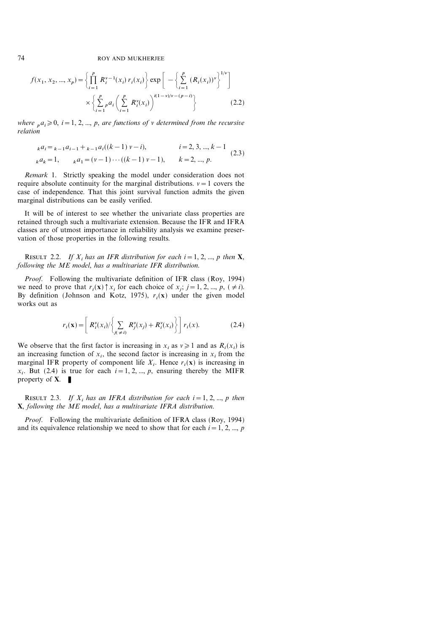$$
f(x_1, x_2, ..., x_p) = \left\{ \prod_{i=1}^p R_i^{\nu-1}(x_i) r_i(x_i) \right\} \exp\bigg[ - \left\{ \sum_{i=1}^p (R_i(x_i))^{\nu} \right\}^{1/\nu} \bigg]
$$
  
 
$$
\times \left\{ \sum_{i=1}^p p a_i \left( \sum_{i=1}^p R_i^{\nu}(x_i) \right)^{i(1-\nu)/\nu-(p-i)} \right\} \tag{2.2}
$$

where  $a_i \geq 0$ ,  $i=1, 2, ..., p$ , are functions of v determined from the recursive relation

$$
{}_{k}a_{i} = {}_{k-1}a_{i-1} + {}_{k-1}a_{i}((k-1) v - i), \qquad i = 2, 3, ..., k-1
$$
  
\n
$$
{}_{k}a_{k} = 1, \qquad {}_{k}a_{1} = (v-1) \cdots ((k-1) v - 1), \qquad k = 2, ..., p.
$$
\n(2.3)

Remark 1. Strictly speaking the model under consideration does not require absolute continuity for the marginal distributions.  $v=1$  covers the case of independence. That this joint survival function admits the given marginal distributions can be easily verified.

It will be of interest to see whether the univariate class properties are retained through such a multivariate extension. Because the IFR and IFRA classes are of utmost importance in reliability analysis we examine preservation of those properties in the following results.

RESULT 2.2. If  $X_i$  has an IFR distribution for each  $i=1, 2, ..., p$  then **X**, following the ME model, has a multivariate IFR distribution.

Proof. Following the multivariate definition of IFR class (Roy, 1994) we need to prove that  $r_i(\mathbf{x}) \uparrow x_i$  for each choice of  $x_j$ ;  $j = 1, 2, ..., p$ ,  $(\neq i)$ . By definition (Johnson and Kotz, 1975),  $r_i(\mathbf{x})$  under the given model works out as

$$
r_i(\mathbf{x}) = \left[ R_i^{\nu}(x_i) / \left\{ \sum_{j(\neq i)} R_j^{\nu}(x_j) + R_i^{\nu}(x_i) \right\} \right] r_i(x). \tag{2.4}
$$

We observe that the first factor is increasing in  $x_i$  as  $v \ge 1$  and as  $R_i(x_i)$  is an increasing function of  $x_i$ , the second factor is increasing in  $x_i$  from the marginal IFR property of component life  $X_i$ . Hence  $r_i(\mathbf{x})$  is increasing in  $x_i$ . But (2.4) is true for each  $i = 1, 2, ..., p$ , ensuring thereby the MIFR property of  $X$ .

RESULT 2.3. If  $X_i$  has an IFRA distribution for each  $i=1, 2, ..., p$  then X, following the ME model, has a multivariate IFRA distribution.

Proof. Following the multivariate definition of IFRA class (Roy, 1994) and its equivalence relationship we need to show that for each  $i=1, 2, ..., p$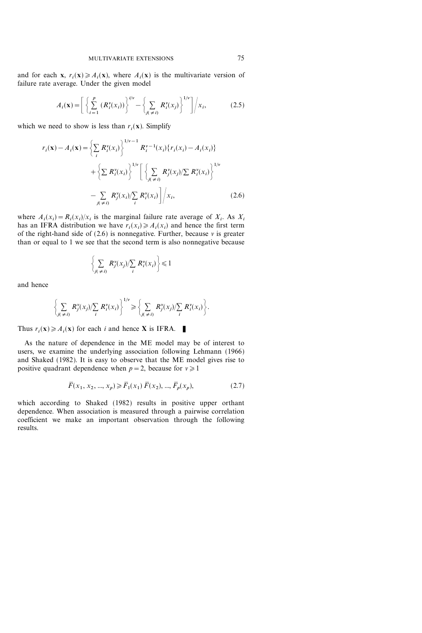and for each **x**,  $r_i(\mathbf{x}) \ge A_i(\mathbf{x})$ , where  $A_i(\mathbf{x})$  is the multivariate version of failure rate average. Under the given model

$$
A_i(\mathbf{x}) = \left[ \left\{ \sum_{i=1}^p (R_i^{\nu}(x_i)) \right\}^{i/\nu} - \left\{ \sum_{j(\neq i)} R_i^{\nu}(x_j) \right\}^{1/\nu} \right] / x_i,
$$
 (2.5)

which we need to show is less than  $r_i(\mathbf{x})$ . Simplify

$$
r_i(\mathbf{x}) - A_i(\mathbf{x}) = \left\{ \sum_i R_i^{\nu}(x_i) \right\}^{1/\nu - 1} R_i^{\nu - 1}(x_i) \left\{ r_i(x_i) - A_i(x_i) \right\}
$$

$$
+ \left\{ \sum R_i^{\nu}(x_i) \right\}^{1/\nu} \left[ \left\{ \sum_{j(\neq i)} R_j^{\nu}(x_j) / \sum R_i^{\nu}(x_i) \right\}^{1/\nu} - \sum_{j(\neq i)} R_j^{\nu}(x_i) / \sum_i R_i^{\nu}(x_i) \right] / x_i, \tag{2.6}
$$

where  $A_i(x_i) = R_i(x_i)/x_i$  is the marginal failure rate average of  $X_i$ . As  $X_i$ has an IFRA distribution we have  $r_i(x_i) \ge A_i(x_i)$  and hence the first term of the right-hand side of  $(2.6)$  is nonnegative. Further, because  $\nu$  is greater than or equal to 1 we see that the second term is also nonnegative because

$$
\left\{\sum_{j(\neq i)} R_j^{\nu}(x_j) / \sum_i R_i^{\nu}(x_i) \right\} \leq 1
$$

and hence

$$
\left\{\sum_{j(\neq i)} R_j^{\nu}(x_j)/\sum_i R_i^{\nu}(x_i)\right\}^{1/\nu} \geqslant \left\{\sum_{j(\neq i)} R_j^{\nu}(x_j)/\sum_i R_i^{\nu}(x_i)\right\}.
$$

Thus  $r_i(\mathbf{x}) \geq A_i(\mathbf{x})$  for each i and hence **X** is IFRA.

As the nature of dependence in the ME model may be of interest to users, we examine the underlying association following Lehmann (1966) and Shaked (1982). It is easy to observe that the ME model gives rise to positive quadrant dependence when  $p=2$ , because for  $v \ge 1$ 

$$
\overline{F}(x_1, x_2, ..., x_p) \ge \overline{F}_1(x_1) \overline{F}(x_2), ..., \overline{F}_p(x_p),
$$
\n(2.7)

which according to Shaked (1982) results in positive upper orthant dependence. When association is measured through a pairwise correlation coefficient we make an important observation through the following results.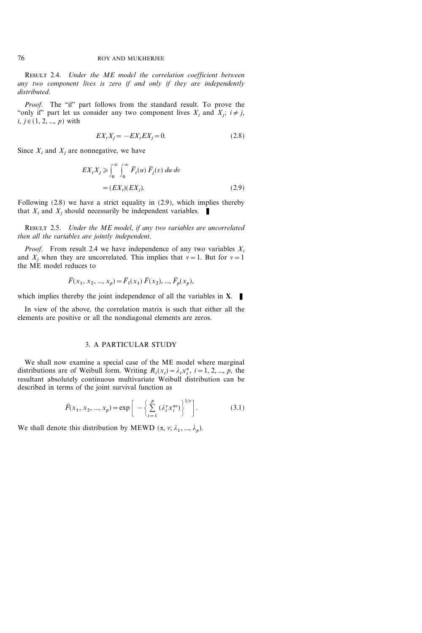RESULT 2.4. Under the ME model the correlation coefficient between any two component lives is zero if and only if they are independently distributed.

Proof. The "if" part follows from the standard result. To prove the "only if" part let us consider any two component lives  $X_i$  and  $X_j$ ;  $i \neq j$ ,  $i, j \in (1, 2, ..., p)$  with

$$
EX_i X_j = -EX_i EX_j = 0.
$$
\n
$$
(2.8)
$$

Since  $X_i$  and  $X_j$  are nonnegative, we have

$$
EX_i X_j \ge \int_0^\infty \int_0^\infty \overline{F}_i(u) \overline{F}_j(v) du dv
$$
  
=  $(EX_i)(EX_j).$  (2.9)

Following (2.8) we have a strict equality in (2.9), which implies thereby that  $X_i$  and  $X_j$  should necessarily be independent variables.

RESULT 2.5. Under the ME model, if any two variables are uncorrelated then all the variables are jointly independent.

*Proof.* From result 2.4 we have independence of any two variables  $X_i$ and  $X_i$ , when they are uncorrelated. This implies that  $v=1$ . But for  $v=1$ the ME model reduces to

$$
\overline{F}(x_1, x_2, ..., x_p) = \overline{F}_1(x_1) \overline{F}(x_2), ..., \overline{F}_p(x_p),
$$

which implies thereby the joint independence of all the variables in  $X$ .

In view of the above, the correlation matrix is such that either all the elements are positive or all the nondiagonal elements are zeros.

## 3. A PARTICULAR STUDY

We shall now examine a special case of the ME model where marginal distributions are of Weibull form. Writing  $R_i(x_i) = \lambda_i x_i^{\alpha}, i = 1, 2, ..., p$ , the resultant absolutely continuous multivariate Weibull distribution can be described in terms of the joint survival function as

$$
\overline{F}(x_1, x_2, ..., x_p) = \exp\bigg[-\bigg\{\sum_{i=1}^p (\lambda_i^v x_i^{xv})\bigg\}^{1/v}\bigg].
$$
 (3.1)

We shall denote this distribution by MEWD ( $\alpha$ ,  $v$ ;  $\lambda_1$ , ...,  $\lambda_p$ ).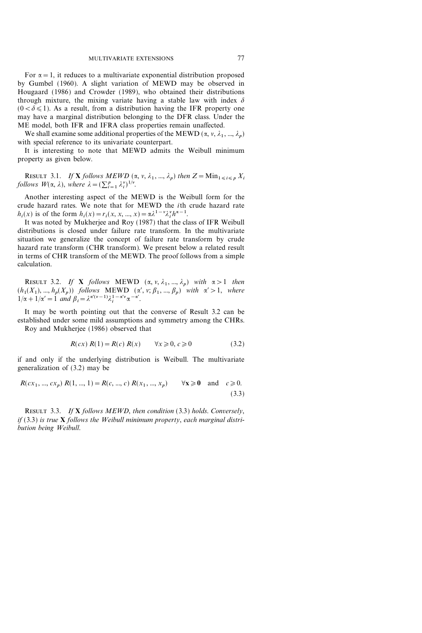For  $\alpha = 1$ , it reduces to a multivariate exponential distribution proposed by Gumbel (1960). A slight variation of MEWD may be observed in Hougaard (1986) and Crowder (1989), who obtained their distributions through mixture, the mixing variate having a stable law with index  $\delta$  $(0 < \delta \le 1)$ . As a result, from a distribution having the IFR property one may have a marginal distribution belonging to the DFR class. Under the ME model, both IFR and IFRA class properties remain unaffected.

We shall examine some additional properties of the MEWD ( $\alpha$ ,  $\nu$ ,  $\lambda$ <sub>1</sub>, ...,  $\lambda$ <sub>p</sub>) with special reference to its univariate counterpart.

It is interesting to note that MEWD admits the Weibull minimum property as given below.

**RESULT 3.1.** If **X** follows MEWD  $(\alpha, v, \lambda_1, ..., \lambda_p)$  then  $Z = Min_{1 \leq i \leq p} X_i$ follows  $W(\alpha, \lambda)$ , where  $\lambda = (\sum_{i=1}^p \lambda_i^{\nu})^{1/\nu}$ .

Another interesting aspect of the MEWD is the Weibull form for the crude hazard rates. We note that for MEWD the ith crude hazard rate  $h_i(x)$  is of the form  $h_i(x) = r_i(x, x, ..., x) = \alpha \lambda^{1-\nu} \lambda_i^{\nu} h^{\alpha-1}$ .

It was noted by Mukherjee and Roy (1987) that the class of IFR Weibull distributions is closed under failure rate transform. In the multivariate situation we generalize the concept of failure rate transform by crude hazard rate transform (CHR transform). We present below a related result in terms of CHR transform of the MEWD. The proof follows from a simple calculation.

RESULT 3.2. If X follows MEWD  $(\alpha, v, \lambda_1, ..., \lambda_p)$  with  $\alpha > 1$  then  $(h_1(X_1), ..., h_p(X_p))$  follows MEWD  $(\alpha', v; \beta_1, ..., \beta_p)$  with  $\alpha' > 1$ , where  $1/\alpha + 1/\alpha' = \hat{1}$  and  $\beta_i = \lambda^{\alpha'(v-1)} \lambda_i^{1-\alpha'v} \alpha^{-\alpha'}.$ 

It may be worth pointing out that the converse of Result 3.2 can be established under some mild assumptions and symmetry among the CHRs. Roy and Mukherjee (1986) observed that

$$
R(cx) R(1) = R(c) R(x) \qquad \forall x \geq 0, c \geq 0
$$
 (3.2)

if and only if the underlying distribution is Weibull. The multivariate generalization of (3.2) may be

$$
R(cx_1, ..., cx_p) R(1, ..., 1) = R(c, ..., c) R(x_1, ..., x_p) \quad \forall \mathbf{x} \geq 0 \text{ and } c \geq 0.
$$
\n(3.3)

RESULT 3.3. If X follows MEWD, then condition (3.3) holds. Conversely, if  $(3.3)$  is true X follows the Weibull minimum property, each marginal distribution being Weibull.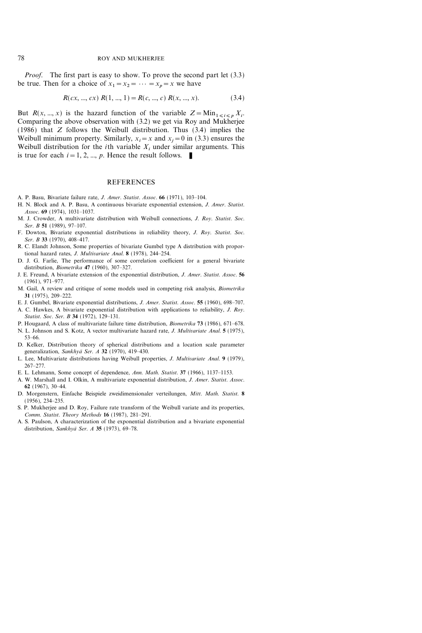*Proof.* The first part is easy to show. To prove the second part let (3.3) be true. Then for a choice of  $x_1=x_2=\cdots=x_p=x$  we have

$$
R(cx, ..., cx) R(1, ..., 1) = R(c, ..., c) R(x, ..., x).
$$
 (3.4)

But  $R(x, ..., x)$  is the hazard function of the variable  $Z = Min_{1 \le i \le p} X_i$ . Comparing the above observation with (3.2) we get via Roy and Mukherjee (1986) that Z follows the Weibull distribution. Thus (3.4) implies the Weibull minimum property. Similarly,  $x_i = x$  and  $x_j = 0$  in (3.3) ensures the Weibull distribution for the *i*th variable  $X_i$  under similar arguments. This is true for each  $i=1, 2, ..., p$ . Hence the result follows.

## REFERENCES

- A. P. Basu, Bivariate failure rate, J. Amer. Statist. Assoc. 66 (1971), 103-104.
- H. N. Block and A. P. Basu, A continuous bivariate exponential extension, J. Amer. Statist. Assoc.  $69$  (1974), 1031-1037.
- M. J. Crowder, A multivariate distribution with Weibull connections, J. Roy. Statist. Soc. Ser. B 51 (1989), 97-107.
- F. Dowton, Bivariate exponential distributions in reliability theory, J. Roy. Statist. Soc. Ser. B 33 (1970), 408-417.
- R. C. Elandt Johnson, Some properties of bivariate Gumbel type A distribution with proportional hazard rates,  $J.$  Multivariate Anal. 8 (1978), 244-254.
- D. J. G. Farlie, The performance of some correlation coefficient for a general bivariate distribution, *Biometrika* 47 (1960), 307-327.
- J. E. Freund, A bivariate extension of the exponential distribution, J. Amer. Statist. Assoc. 56  $(1961), 971-977.$
- M. Gail, A review and critique of some models used in competing risk analysis, Biometrika 31 (1975), 209-222.
- E. J. Gumbel, Bivariate exponential distributions, J. Amer. Statist. Assoc. 55 (1960), 698-707.
- A. C. Hawkes, A bivariate exponential distribution with applications to reliability, J. Roy. Statist. Soc. Ser. B 34 (1972), 129-131.
- P. Hougaard, A class of multivariate failure time distribution, *Biometrika* 73 (1986), 671–678.
- N. L. Johnson and S. Kotz, A vector multivariate hazard rate, *J. Multivariate Anal.* 5 (1975),  $53 - 66.$
- D. Kelker, Distribution theory of spherical distributions and a location scale parameter generalization, Sankhyā Ser. A 32 (1970), 419-430.
- L. Lee, Multivariate distributions having Weibull properties, *J. Multivariate Anal.* 9 (1979), 267-277.
- E. L. Lehmann, Some concept of dependence, Ann. Math. Statist. 37 (1966), 1137–1153.
- A. W. Marshall and I. Olkin, A multivariate exponential distribution, J. Amer. Statist. Assoc. 62 (1967), 30-44.
- D. Morgenstern, Einfache Beispiele zweidimensionaler verteilungen, Mitt. Math. Statist. 8  $(1956)$ , 234-235.
- S. P. Mukherjee and D. Roy, Failure rate transform of the Weibull variate and its properties, Comm. Statist. Theory Methods 16 (1987), 281-291.
- A. S. Paulson, A characterization of the exponential distribution and a bivariate exponential distribution, Sankhyā Ser. A 35 (1973), 69-78.